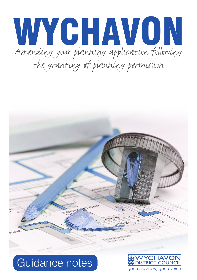# Amending your planning application following the granting of planning permission WYCHAVON



## Guidance notes

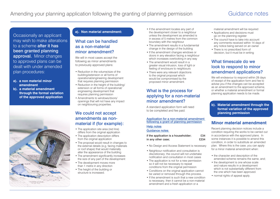Occasionally an applicant may wish to make alterations to a scheme after it has been granted planning approval. Minor changes to approved plans can be dealt with under amended plan procedures:

- **a). a non material minor amendment**
- **b). a material amendment through the formal variation of the approved application**



#### **a). Non material amendment:**

## What can be handled as a non-material minor amendment?

We will in most cases accept the following as minor amendments to previously approved plans:

- Reduction in the volume/size of the building/extension or all forms of operational/engineering development that requires planning permission
- Reduction in the height of the building/ extension or all forms of operational/ engineering development that requires planning permission
- Amendments to windows/doors/ openings that will not have any impact on neighbouring properties.

### We could not accept amendments as nonmaterial if (for example):

- The application site area (red line) differs from the original application
- The application description differs from the original application
- The proposal would result in changes to the external details (e.g. facing materials or roof shape) that would materially alter the appearance of the building
- The amendment significantly increases the size of any part of the development
- The development moves more than 1 metre in any direction
- The height of the building or structure is increased.
- If the amendment locates any part of the development closer to a neighbour unless the development as amended is in excess of 5 metres from the common boundary with the neighbour
- The amendment results in a fundamental change in the design of the building
- If the amendment changes windows or doors in any elevation facing a neighbour which increases overlooking in any way
- The amendment would result in a greater visual intrusion, loss of light or feeling of enclosure to neighbours
- There were any relevant objections to the original proposal which would be compromised by the proposed minor amendment.

## What is the process for applying for a non-material minor amendment?

A standard application form will need to be completed and fee paid.

#### [Application for a non-material amendment](http://www.planningportal.gov.uk/uploads/appPDF/H1840Form034_england_en.pdf)  [following a grant of planning permission](http://www.planningportal.gov.uk/uploads/appPDF/H1840Form034_england_en.pdf)

[Help notes](http://www.planningportal.gov.uk/uploads/appPDF/Help034_england_en.pdf)

#### [Guidance notes](http://www.planningportal.gov.uk/uploads/appPDF/Help034_england_en.pdf)

| if the application is a householder; | £34  |
|--------------------------------------|------|
| in any other case;                   | £234 |

- No Design and Access Statement is necessary
- Neighbour notification and consultation is discretionary; the council will not undertake notification and consultation in most cases
- The application is not for a new permission so it will not be necessary to repeat conditions from the original permission
- Conditions on the original application cannot be varied or removed through this process.
- If the amendment is such that a new condition is necessary, then it cannot be a non-material amendment and a fresh application or a

material amendment will be required

- Applications and decisions must go on the planning register
- The council have to take into account any comments received within 14 days of any notice being served on an owner
- There is no prescribed form of decision, but it must be in writing

## What timescale do we look to respond to minor amendment applications?

We will endeavour to respond within 28 days of receipt of the application form and fee to advise you if the changes can be accepted as an amendment to the approved scheme, or whether a material amendment or formal planning application needs to be made.

#### **b). Material amendment through the formal variation of the approved planning permission**

## **Minor material amendment**

Recent planning decision notices include a condition requiring the works to be carried out in accordance with the approved plans. In some instances it is possible to amend this condition, in order to substitute an amended plan. Where this is the case, you can apply for a minor material amendment when:

- the character and description of the amended scheme remains the same, and;
- the development is one whose scale and nature results in a development which is not substantially different from the one which has been approved.
- normal rights of appeal apply.